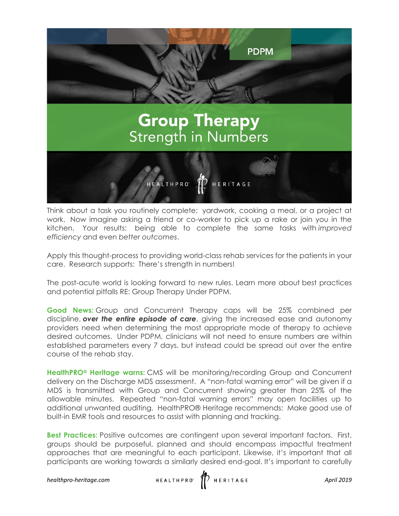

Think about a task you routinely complete: yardwork, cooking a meal, or a project at work. Now imagine asking a friend or co-worker to pick up a rake or join you in the kitchen. Your results: being able to complete the same tasks with *improved efficiency* and even *better outcomes*.

Apply this thought-process to providing world-class rehab services for the patients in your care. Research supports: There's strength in numbers!

The post-acute world is looking forward to new rules. Learn more about best practices and potential pitfalls RE: Group Therapy Under PDPM.

**Good News:** Group and Concurrent Therapy caps will be 25% combined per discipline, *over the entire episode of care*, giving the increased ease and autonomy providers need when determining the most appropriate mode of therapy to achieve desired outcomes. Under PDPM, clinicians will not need to ensure numbers are within established parameters every 7 days, but instead could be spread out over the entire course of the rehab stay.

**HealthPRO® Heritage warns:** CMS will be monitoring/recording Group and Concurrent delivery on the Discharge MDS assessment. A "non-fatal warning error" will be given if a MDS is transmitted with Group and Concurrent showing greater than 25% of the allowable minutes. Repeated "non-fatal warning errors" may open facilities up to additional unwanted auditing. HealthPRO® Heritage recommends: Make good use of built-in EMR tools and resources to assist with planning and tracking.

**Best Practices:** Positive outcomes are contingent upon several important factors. First, groups should be purposeful, planned and should encompass impactful treatment approaches that are meaningful to each participant. Likewise, it's important that all participants are working towards a similarly desired end-goal. It's important to carefully